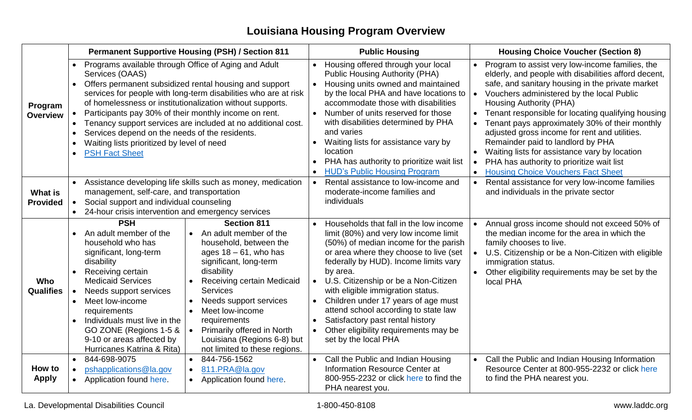## **Louisiana Housing Program Overview**

|                                   | <b>Permanent Supportive Housing (PSH) / Section 811</b>                                                                                                                                                                                                                                                                                                                                                                                                                                                                                                                                                                                                                                        | <b>Public Housing</b>                                                                                                                                                                                                                                                                                                                                                                                                                                                                                 | <b>Housing Choice Voucher (Section 8)</b>                                                                                                                                                                                                                                                                                                                                                                                                                                                                                                                                                              |
|-----------------------------------|------------------------------------------------------------------------------------------------------------------------------------------------------------------------------------------------------------------------------------------------------------------------------------------------------------------------------------------------------------------------------------------------------------------------------------------------------------------------------------------------------------------------------------------------------------------------------------------------------------------------------------------------------------------------------------------------|-------------------------------------------------------------------------------------------------------------------------------------------------------------------------------------------------------------------------------------------------------------------------------------------------------------------------------------------------------------------------------------------------------------------------------------------------------------------------------------------------------|--------------------------------------------------------------------------------------------------------------------------------------------------------------------------------------------------------------------------------------------------------------------------------------------------------------------------------------------------------------------------------------------------------------------------------------------------------------------------------------------------------------------------------------------------------------------------------------------------------|
| Program<br><b>Overview</b>        | Programs available through Office of Aging and Adult<br>Services (OAAS)<br>Offers permanent subsidized rental housing and support<br>services for people with long-term disabilities who are at risk<br>of homelessness or institutionalization without supports.<br>Participants pay 30% of their monthly income on rent.<br>Tenancy support services are included at no additional cost.<br>Services depend on the needs of the residents.<br>Waiting lists prioritized by level of need<br><b>PSH Fact Sheet</b>                                                                                                                                                                            | Housing offered through your local<br><b>Public Housing Authority (PHA)</b><br>Housing units owned and maintained<br>by the local PHA and have locations to<br>accommodate those with disabilities<br>Number of units reserved for those<br>with disabilities determined by PHA<br>and varies<br>Waiting lists for assistance vary by<br>location<br>PHA has authority to prioritize wait list<br><b>HUD's Public Housing Program</b>                                                                 | Program to assist very low-income families, the<br>elderly, and people with disabilities afford decent,<br>safe, and sanitary housing in the private market<br>Vouchers administered by the local Public<br>$\bullet$<br>Housing Authority (PHA)<br>Tenant responsible for locating qualifying housing<br>Tenant pays approximately 30% of their monthly<br>$\bullet$<br>adjusted gross income for rent and utilities.<br>Remainder paid to landlord by PHA<br>Waiting lists for assistance vary by location<br>PHA has authority to prioritize wait list<br><b>Housing Choice Vouchers Fact Sheet</b> |
| <b>What is</b><br><b>Provided</b> | Assistance developing life skills such as money, medication<br>management, self-care, and transportation<br>Social support and individual counseling<br>24-hour crisis intervention and emergency services                                                                                                                                                                                                                                                                                                                                                                                                                                                                                     | Rental assistance to low-income and<br>$\bullet$<br>moderate-income families and<br>individuals                                                                                                                                                                                                                                                                                                                                                                                                       | Rental assistance for very low-income families<br>$\bullet$<br>and individuals in the private sector                                                                                                                                                                                                                                                                                                                                                                                                                                                                                                   |
| Who<br><b>Qualifies</b>           | <b>PSH</b><br><b>Section 811</b><br>An adult member of the<br>An adult member of the<br>household who has<br>household, between the<br>ages $18 - 61$ , who has<br>significant, long-term<br>disability<br>significant, long-term<br>disability<br>Receiving certain<br><b>Medicaid Services</b><br>Receiving certain Medicaid<br><b>Services</b><br>Needs support services<br>Needs support services<br>Meet low-income<br>Meet low-income<br>requirements<br>Individuals must live in the<br>requirements<br>GO ZONE (Regions 1-5 &<br>Primarily offered in North<br>9-10 or areas affected by<br>Louisiana (Regions 6-8) but<br>Hurricanes Katrina & Rita)<br>not limited to these regions. | Households that fall in the low income<br>$\bullet$<br>limit (80%) and very low income limit<br>(50%) of median income for the parish<br>or area where they choose to live (set<br>federally by HUD). Income limits vary<br>by area.<br>U.S. Citizenship or be a Non-Citizen<br>with eligible immigration status.<br>Children under 17 years of age must<br>attend school according to state law<br>Satisfactory past rental history<br>Other eligibility requirements may be<br>set by the local PHA | Annual gross income should not exceed 50% of<br>the median income for the area in which the<br>family chooses to live.<br>U.S. Citizenship or be a Non-Citizen with eligible<br>$\bullet$<br>immigration status.<br>Other eligibility requirements may be set by the<br>local PHA                                                                                                                                                                                                                                                                                                                      |
| How to<br><b>Apply</b>            | 844-698-9075<br>844-756-1562<br>$\bullet$<br>pshapplications@la.gov<br>811.PRA@la.gov<br>$\bullet$<br>Application found here.<br>Application found here.                                                                                                                                                                                                                                                                                                                                                                                                                                                                                                                                       | Call the Public and Indian Housing<br><b>Information Resource Center at</b><br>800-955-2232 or click here to find the<br>PHA nearest you.                                                                                                                                                                                                                                                                                                                                                             | Call the Public and Indian Housing Information<br>Resource Center at 800-955-2232 or click here<br>to find the PHA nearest you.                                                                                                                                                                                                                                                                                                                                                                                                                                                                        |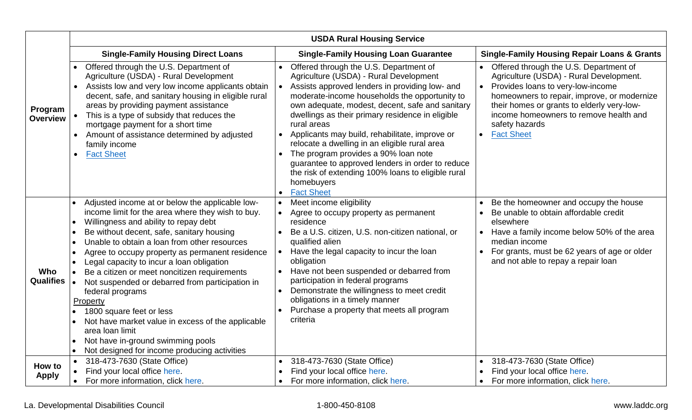|                                | <b>USDA Rural Housing Service</b>                                                                                                                                                                                                                                                                                                                                                                                                                                                                                                                                                                                                                                                                             |                                                                                                                                                                                                                                                                                                                                                                                                                                                                                                                                                                                                   |                                                                                                                                                                                                                                                                                                                                |  |  |
|--------------------------------|---------------------------------------------------------------------------------------------------------------------------------------------------------------------------------------------------------------------------------------------------------------------------------------------------------------------------------------------------------------------------------------------------------------------------------------------------------------------------------------------------------------------------------------------------------------------------------------------------------------------------------------------------------------------------------------------------------------|---------------------------------------------------------------------------------------------------------------------------------------------------------------------------------------------------------------------------------------------------------------------------------------------------------------------------------------------------------------------------------------------------------------------------------------------------------------------------------------------------------------------------------------------------------------------------------------------------|--------------------------------------------------------------------------------------------------------------------------------------------------------------------------------------------------------------------------------------------------------------------------------------------------------------------------------|--|--|
|                                | <b>Single-Family Housing Direct Loans</b>                                                                                                                                                                                                                                                                                                                                                                                                                                                                                                                                                                                                                                                                     | <b>Single-Family Housing Loan Guarantee</b>                                                                                                                                                                                                                                                                                                                                                                                                                                                                                                                                                       | <b>Single-Family Housing Repair Loans &amp; Grants</b>                                                                                                                                                                                                                                                                         |  |  |
| Program<br><b>Overview</b>     | Offered through the U.S. Department of<br>Agriculture (USDA) - Rural Development<br>Assists low and very low income applicants obtain<br>decent, safe, and sanitary housing in eligible rural<br>areas by providing payment assistance<br>• This is a type of subsidy that reduces the<br>mortgage payment for a short time<br>Amount of assistance determined by adjusted<br>family income<br><b>Fact Sheet</b>                                                                                                                                                                                                                                                                                              | Offered through the U.S. Department of<br>Agriculture (USDA) - Rural Development<br>Assists approved lenders in providing low- and<br>moderate-income households the opportunity to<br>own adequate, modest, decent, safe and sanitary<br>dwellings as their primary residence in eligible<br>rural areas<br>Applicants may build, rehabilitate, improve or<br>relocate a dwelling in an eligible rural area<br>The program provides a 90% loan note<br>guarantee to approved lenders in order to reduce<br>the risk of extending 100% loans to eligible rural<br>homebuyers<br><b>Fact Sheet</b> | Offered through the U.S. Department of<br>Agriculture (USDA) - Rural Development.<br>Provides loans to very-low-income<br>$\bullet$<br>homeowners to repair, improve, or modernize<br>their homes or grants to elderly very-low-<br>income homeowners to remove health and<br>safety hazards<br><b>Fact Sheet</b><br>$\bullet$ |  |  |
| <b>Who</b><br><b>Qualifies</b> | Adjusted income at or below the applicable low-<br>income limit for the area where they wish to buy.<br>Willingness and ability to repay debt<br>$\bullet$<br>Be without decent, safe, sanitary housing<br>Unable to obtain a loan from other resources<br>$\bullet$<br>Agree to occupy property as permanent residence<br>Legal capacity to incur a loan obligation<br>Be a citizen or meet noncitizen requirements<br>Not suspended or debarred from participation in<br>federal programs<br>Property<br>1800 square feet or less<br>Not have market value in excess of the applicable<br>area loan limit<br>Not have in-ground swimming pools<br>Not designed for income producing activities<br>$\bullet$ | Meet income eligibility<br>Agree to occupy property as permanent<br>residence<br>Be a U.S. citizen, U.S. non-citizen national, or<br>qualified alien<br>Have the legal capacity to incur the loan<br>obligation<br>Have not been suspended or debarred from<br>participation in federal programs<br>Demonstrate the willingness to meet credit<br>$\bullet$<br>obligations in a timely manner<br>Purchase a property that meets all program<br>criteria                                                                                                                                           | Be the homeowner and occupy the house<br>Be unable to obtain affordable credit<br>elsewhere<br>• Have a family income below 50% of the area<br>median income<br>For grants, must be 62 years of age or older<br>and not able to repay a repair loan                                                                            |  |  |
| How to<br><b>Apply</b>         | 318-473-7630 (State Office)<br>Find your local office here.<br>For more information, click here.                                                                                                                                                                                                                                                                                                                                                                                                                                                                                                                                                                                                              | 318-473-7630 (State Office)<br>Find your local office here.<br>For more information, click here.                                                                                                                                                                                                                                                                                                                                                                                                                                                                                                  | 318-473-7630 (State Office)<br>Find your local office here.<br>For more information, click here.                                                                                                                                                                                                                               |  |  |